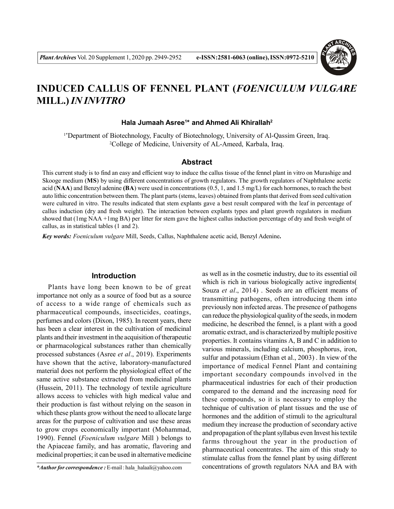

# **INDUCED CALLUS OF FENNEL PLANT (***FOENICULUM VULGARE* **MILL.)** *IN INVITRO*

#### **Hala Jumaah Asree<sup>1</sup> \* and Ahmed Ali Khirallah<sup>2</sup>**

<sup>1\*</sup>Department of Biotechnology, Faculty of Biotechnology, University of Al-Qassim Green, Iraq. <sup>2</sup>College of Medicine, University of AL-Ameed, Karbala, Iraq.

#### **Abstract**

This current study is to find an easy and efficient way to induce the callus tissue of the fennel plant in vitro on Murashige and Skooge medium (**MS**) by using different concentrations of growth regulators. The growth regulators of Naphthalene acetic acid (**NAA**) and Benzyl adenine **(BA**) were used in concentrations (0.5, 1, and 1.5 mg/L) for each hormones, to reach the best auto lithic concentration between them. The plant parts (stems, leaves) obtained from plants that derived from seed cultivation were cultured in vitro. The results indicated that stem explants gave a best result compared with the leaf in percentage of callus induction (dry and fresh weight). The interaction between explants types and plant growth regulators in medium showed that (1mg NAA +1mg BA) per litter for stem gave the highest callus induction percentage of dry and fresh weight of callus, as in statistical tables (1 and 2).

*Key words: Foeniculum vulgare* Mill, Seeds, Callus, Naphthalene acetic acid, Benzyl Adenine**.**

# **Introduction**

Plants have long been known to be of great importance not only as a source of food but as a source of access to a wide range of chemicals such as pharmaceutical compounds, insecticides, coatings, perfumes and colors (Dixon, 1985). In recent years, there has been a clear interest in the cultivation of medicinal plants and their investment in the acquisition of therapeutic or pharmacological substances rather than chemically processed substances (Asree *et al*., 2019). Experiments have shown that the active, laboratory-manufactured material does not perform the physiological effect of the same active substance extracted from medicinal plants (Hussein, 2011). The technology of textile agriculture allows access to vehicles with high medical value and their production is fast without relying on the season in which these plants grow without the need to allocate large areas for the purpose of cultivation and use these areas to grow crops economically important (Mohammad, 1990). Fennel (*Foeniculum vulgare* Mill ) belongs to the Apiaceae family, and has aromatic, flavoring and medicinal properties; it can be used in alternative medicine

as well as in the cosmetic industry, due to its essential oil which is rich in various biologically active ingredients( Souza *et al*., 2014) . Seeds are an efficient means of transmitting pathogens, often introducing them into previously non infected areas. The presence of pathogens can reduce the physiological quality of the seeds, in modern medicine, he described the fennel, is a plant with a good aromatic extract, and is characterized by multiple positive properties. It contains vitamins A, B and C in addition to various minerals, including calcium, phosphorus, iron, sulfur and potassium (Ethan et al., 2003) . In view of the importance of medical Fennel Plant and containing important secondary compounds involved in the pharmaceutical industries for each of their production compared to the demand and the increasing need for these compounds, so it is necessary to employ the technique of cultivation of plant tissues and the use of hormones and the addition of stimuli to the agricultural medium they increase the production of secondary active and propagation of the plant syllabus even Invest his textile farms throughout the year in the production of pharmaceutical concentrates. The aim of this study to stimulate callus from the fennel plant by using different concentrations of growth regulators NAA and BA with

*<sup>\*</sup>Author for correspondence :* E-mail : hala\_halaali@yahoo.com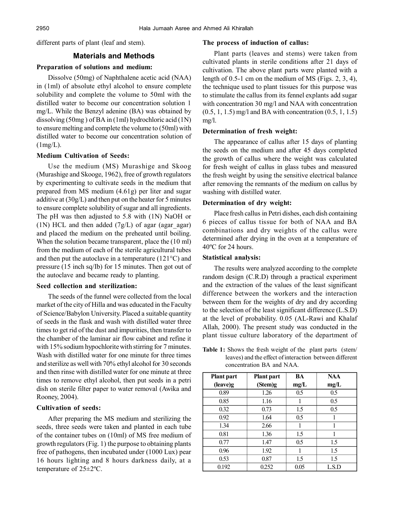different parts of plant (leaf and stem).

## **Materials and Methods**

## **Preparation of solutions and medium:**

Dissolve (50mg) of Naphthalene acetic acid (NAA) in (1ml) of absolute ethyl alcohol to ensure complete solubility and complete the volume to 50ml with the distilled water to become our concentration solution 1 mg/L. While the Benzyl adenine (BA) was obtained by dissolving (50mg ) of BA in (1ml) hydrochloric acid (1N) to ensure melting and complete the volume to (50ml) with distilled water to become our concentration solution of  $(1mg/L).$ 

### **Medium Cultivation of Seeds:**

Use the medium (MS) Murashige and Skoog (Murashige and Skooge, 1962), free of growth regulators by experimenting to cultivate seeds in the medium that prepared from MS medium (4.61g) per liter and sugar additive at (30g/L) and then put on the heater for 5 minutes to ensure complete solubility of sugar and all ingredients. The pH was then adjusted to 5.8 with (1N) NaOH or (1N) HCL and then added  $(7g/L)$  of agar (agar agar) and placed the medium on the preheated until boiling. When the solution became transparent, place the (10 ml) from the medium of each of the sterile agricultural tubes and then put the autoclave in a temperature (121°C) and pressure (15 inch sq/Ib) for 15 minutes. Then got out of the autoclave and became ready to planting.

# **Seed collection and sterilization:**

The seeds of the funnel were collected from the local market of the city of Hilla and was educated in the Faculty of Science/Babylon University. Placed a suitable quantity of seeds in the flask and wash with distilled water three times to get rid of the dust and impurities, then transfer to the chamber of the laminar air flow cabinet and refine it with 15% sodium hypochlorite with stirring for 7 minutes. Wash with distilled water for one minute for three times and sterilize as well with 70% ethyl alcohol for 30 seconds and then rinse with distilled water for one minute at three times to remove ethyl alcohol, then put seeds in a petri dish on sterile filter paper to water removal (Awika and Rooney, 2004).

## **Cultivation of seeds:**

After preparing the MS medium and sterilizing the seeds, three seeds were taken and planted in each tube of the container tubes on (10ml) of MS free medium of growth regulators (Fig. 1) the purpose to obtaining plants free of pathogens, then incubated under (1000 Lux) pear 16 hours lighting and 8 hours darkness daily, at a temperature of 25±2ºC.

#### **The process of induction of callus:**

Plant parts (leaves and stems) were taken from cultivated plants in sterile conditions after 21 days of cultivation. The above plant parts were planted with a length of 0.5-1 cm on the medium of MS (Figs. 2, 3, 4), the technique used to plant tissues for this purpose was to stimulate the callus from its fennel explants add sugar with concentration 30 mg/l and NAA with concentration (0.5, 1, 1.5) mg/l and BA with concentration (0.5, 1, 1.5) mg/l.

#### **Determination of fresh weight:**

The appearance of callus after 15 days of planting the seeds on the medium and after 45 days completed the growth of callus where the weight was calculated for fresh weight of callus in glass tubes and measured the fresh weight by using the sensitive electrical balance after removing the remnants of the medium on callus by washing with distilled water.

## **Determination of dry weight:**

Place fresh callus in Petri dishes, each dish containing 6 pieces of callus tissue for both of NAA and BA combinations and dry weights of the callus were determined after drying in the oven at a temperature of 40ºC for 24 hours.

#### **Statistical analysis:**

The results were analyzed according to the complete random design (C.R.D) through a practical experiment and the extraction of the values of the least significant difference between the workers and the interaction between them for the weights of dry and dry according to the selection of the least significant difference (L.S.D) at the level of probability. 0.05 (AL-Rawi and Khalaf Allah, 2000). The present study was conducted in the plant tissue culture laboratory of the department of

**Table 1:** Shows the fresh weight of the plant parts (stem/ leaves) and the effect of interaction between different concentration BA and NAA.

| <b>Plant</b> part | <b>Plant part</b> | BA   | <b>NAA</b> |
|-------------------|-------------------|------|------------|
| (leave)g          | (Stem)g           | mg/L | mg/L       |
| 0.89              | 1.26              | 0.5  | 0.5        |
| 0.85              | 1.16              |      | 0.5        |
| 0.32              | 0.73              | 1.5  | 0.5        |
| 0.92              | 1.64              | 0.5  |            |
| 1.34              | 2.66              |      |            |
| 0.81              | 1.36              | 1.5  |            |
| 0.77              | 1.47              | 0.5  | 1.5        |
| 0.96              | 1.92              |      | 1.5        |
| 0.53              | 0.87              | 1.5  | 1.5        |
| 0.192             | 0.252             | 0.05 | L.S.D      |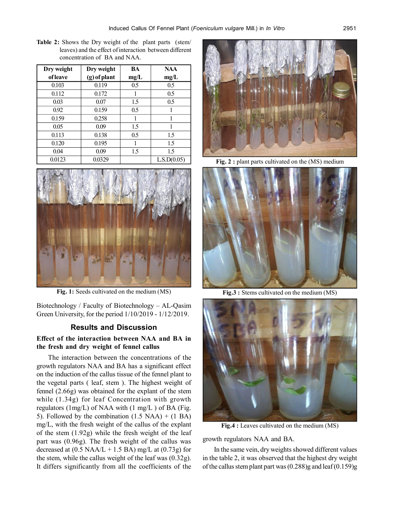**Table 2:** Shows the Dry weight of the plant parts (stem/ leaves) and the effect of interaction between different concentration of BA and NAA.

| Dry weight      | Dry weight   | BA   | <b>NAA</b>  |
|-----------------|--------------|------|-------------|
| <i>of leave</i> | (g) of plant | mg/L | mg/L        |
| 0.103           | 0.119        | 0.5  | 0.5         |
| 0.112           | 0.172        | 1    | 0.5         |
| 0.03            | 0.07         | 1.5  | 0.5         |
| 0.92            | 0.159        | 0.5  |             |
| 0.159           | 0.258        | 1    |             |
| 0.05            | 0.09         | 1.5  |             |
| 0.113           | 0.138        | 0.5  | 1.5         |
| 0.120           | 0.195        | 1    | 1.5         |
| 0.04            | 0.09         | 1.5  | 1.5         |
| 0.0123          | 0.0329       |      | L.S.D(0.05) |



**Fig. 1:** Seeds cultivated on the medium (MS)

Biotechnology / Faculty of Biotechnology – AL-Qasim Green University, for the period 1/10/2019 - 1/12/2019.

## **Results and Discussion**

# **Effect of the interaction between NAA and BA in the fresh and dry weight of fennel callus**

The interaction between the concentrations of the growth regulators NAA and BA has a significant effect on the induction of the callus tissue of the fennel plant to the vegetal parts ( leaf, stem ). The highest weight of fennel (2.66g) was obtained for the explant of the stem while (1.34g) for leaf Concentration with growth regulators (1mg/L) of NAA with (1 mg/L) of BA (Fig. 5). Followed by the combination  $(1.5 \text{ NAA}) + (1 \text{ BA})$ mg/L, with the fresh weight of the callus of the explant of the stem (1.92g) while the fresh weight of the leaf part was (0.96g). The fresh weight of the callus was decreased at  $(0.5 \text{ NAA/L} + 1.5 \text{ BA}) \text{ mg/L}$  at  $(0.73 \text{ g})$  for the stem, while the callus weight of the leaf was (0.32g). It differs significantly from all the coefficients of the



Fig. 2 : plant parts cultivated on the (MS) medium



**Fig.3 :** Stems cultivated on the medium (MS)



**Fig.4 :** Leaves cultivated on the medium (MS)

growth regulators NAA and BA.

In the same vein, dry weights showed different values in the table 2, it was observed that the highest dry weight of the callus stem plant part was  $(0.288)$ g and leaf  $(0.159)$ g